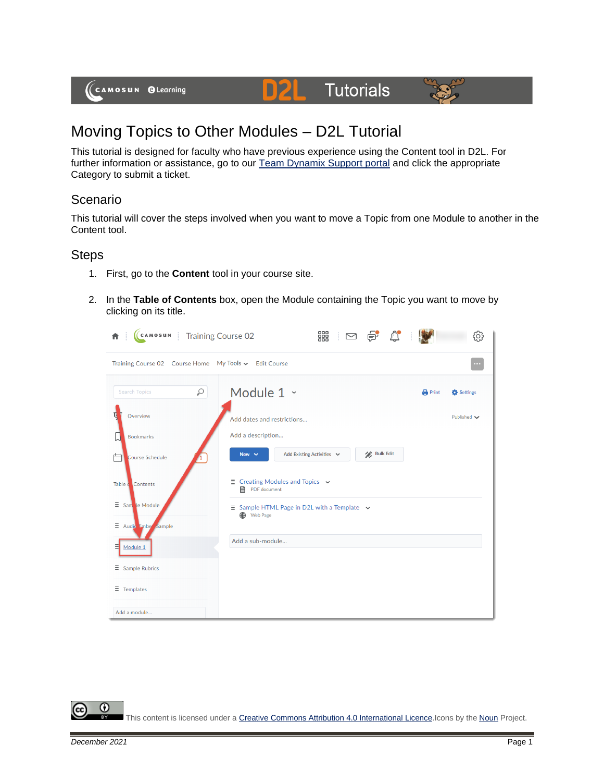



## Moving Topics to Other Modules – D2L Tutorial

This tutorial is designed for faculty who have previous experience using the Content tool in D2L. For further information or assistance, go to our [Team Dynamix Support portal](https://camosun.teamdynamix.com/TDClient/67/Portal/Requests/ServiceCatalog?CategoryID=523) and click the appropriate Category to submit a ticket.

DŽ

## Scenario

This tutorial will cover the steps involved when you want to move a Topic from one Module to another in the Content tool.

## **Steps**

- 1. First, go to the **Content** tool in your course site.
- 2. In the **Table of Contents** box, open the Module containing the Topic you want to move by clicking on its title.

| CAMOSUN :<br><b>Training Course 02</b>                | 器<br>$\mathbb{C}$<br>$\pm$<br>é<br>$\sum$                                    | දුරි}              |  |  |
|-------------------------------------------------------|------------------------------------------------------------------------------|--------------------|--|--|
| Training Course 02 Course Home My Tools v Edit Course |                                                                              |                    |  |  |
| Q<br><b>Search Topics</b>                             | Module 1 v<br><b>Print</b>                                                   | Settings           |  |  |
| Overview                                              | Add dates and restrictions                                                   | Published $\smile$ |  |  |
| <b>Bookmarks</b>                                      | Add a description                                                            |                    |  |  |
| 户<br>Course Schedule                                  | <b>Bulk Edit</b><br>Add Existing Activities v<br>New $\sim$                  |                    |  |  |
| Table do Contents                                     | $\equiv$ Creating Modules and Topics $\sim$<br><b>目</b> PDF document         |                    |  |  |
| $\equiv$ Sam le Module                                | $\equiv$ Sample HTML Page in D2L with a Template $\sim$<br><b>B</b> Web Page |                    |  |  |
| $\equiv$ Audic Ember Sample                           |                                                                              |                    |  |  |
| 팈<br>Module 1                                         | Add a sub-module                                                             |                    |  |  |
| Ξ<br><b>Sample Rubrics</b>                            |                                                                              |                    |  |  |
| Ξ<br>Templates                                        |                                                                              |                    |  |  |
| Add a module                                          |                                                                              |                    |  |  |

⋒ This content is licensed under [a Creative Commons Attribution 4.0 International Licence.I](https://creativecommons.org/licenses/by/4.0/)cons by the [Noun](https://creativecommons.org/website-icons/) Project.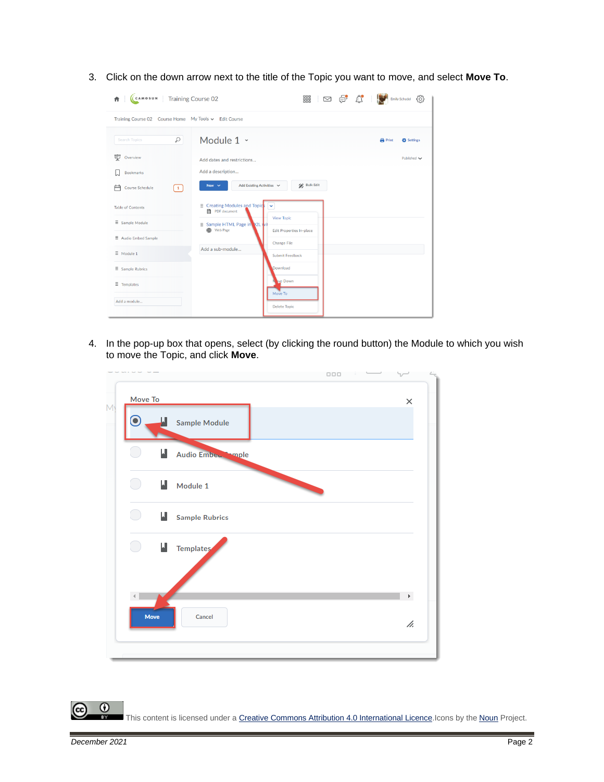3. Click on the down arrow next to the title of the Topic you want to move, and select **Move To**.



4. In the pop-up box that opens, select (by clicking the round button) the Module to which you wish to move the Topic, and click **Move**.



 $\odot$ This content is licensed under [a Creative Commons Attribution 4.0 International Licence.I](https://creativecommons.org/licenses/by/4.0/)cons by the [Noun](https://creativecommons.org/website-icons/) Project.